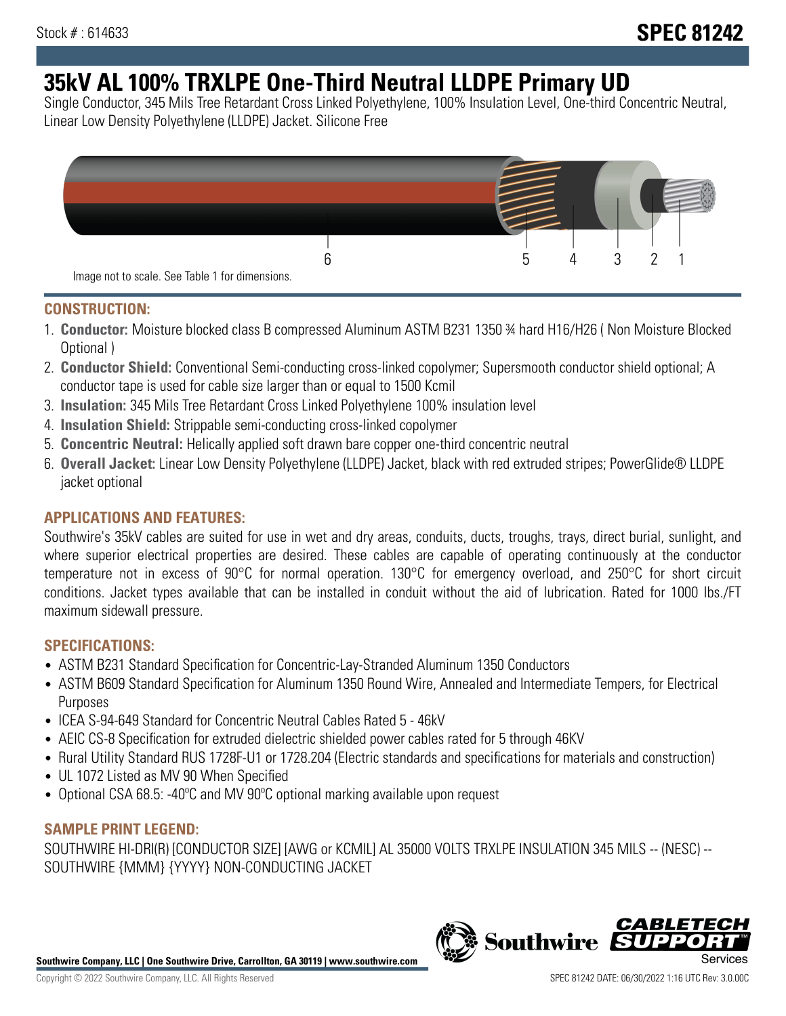# **35kV AL 100% TRXLPE One-Third Neutral LLDPE Primary UD**

Single Conductor, 345 Mils Tree Retardant Cross Linked Polyethylene, 100% Insulation Level, One-third Concentric Neutral, Linear Low Density Polyethylene (LLDPE) Jacket. Silicone Free



### **CONSTRUCTION:**

- 1. **Conductor:** Moisture blocked class B compressed Aluminum ASTM B231 1350 ¾ hard H16/H26 ( Non Moisture Blocked Optional )
- 2. **Conductor Shield:** Conventional Semi-conducting cross-linked copolymer; Supersmooth conductor shield optional; A conductor tape is used for cable size larger than or equal to 1500 Kcmil
- 3. **Insulation:** 345 Mils Tree Retardant Cross Linked Polyethylene 100% insulation level
- 4. **Insulation Shield:** Strippable semi-conducting cross-linked copolymer
- 5. **Concentric Neutral:** Helically applied soft drawn bare copper one-third concentric neutral
- 6. **Overall Jacket:** Linear Low Density Polyethylene (LLDPE) Jacket, black with red extruded stripes; PowerGlide® LLDPE jacket optional

## **APPLICATIONS AND FEATURES:**

Southwire's 35kV cables are suited for use in wet and dry areas, conduits, ducts, troughs, trays, direct burial, sunlight, and where superior electrical properties are desired. These cables are capable of operating continuously at the conductor temperature not in excess of 90°C for normal operation. 130°C for emergency overload, and 250°C for short circuit conditions. Jacket types available that can be installed in conduit without the aid of lubrication. Rated for 1000 lbs./FT maximum sidewall pressure.

## **SPECIFICATIONS:**

- ASTM B231 Standard Specification for Concentric-Lay-Stranded Aluminum 1350 Conductors
- ASTM B609 Standard Specification for Aluminum 1350 Round Wire, Annealed and Intermediate Tempers, for Electrical Purposes
- ICEA S-94-649 Standard for Concentric Neutral Cables Rated 5 46kV
- AEIC CS-8 Specification for extruded dielectric shielded power cables rated for 5 through 46KV
- Rural Utility Standard RUS 1728F-U1 or 1728.204 (Electric standards and specifications for materials and construction)
- UL 1072 Listed as MV 90 When Specified
- Optional CSA 68.5: -40ºC and MV 90ºC optional marking available upon request

#### **SAMPLE PRINT LEGEND:**

SOUTHWIRE HI-DRI(R) [CONDUCTOR SIZE] [AWG or KCMIL] AL 35000 VOLTS TRXLPE INSULATION 345 MILS -- (NESC) -- SOUTHWIRE {MMM} {YYYY} NON-CONDUCTING JACKET

**Southwire Company, LLC | One Southwire Drive, Carrollton, GA 30119 | www.southwire.com**

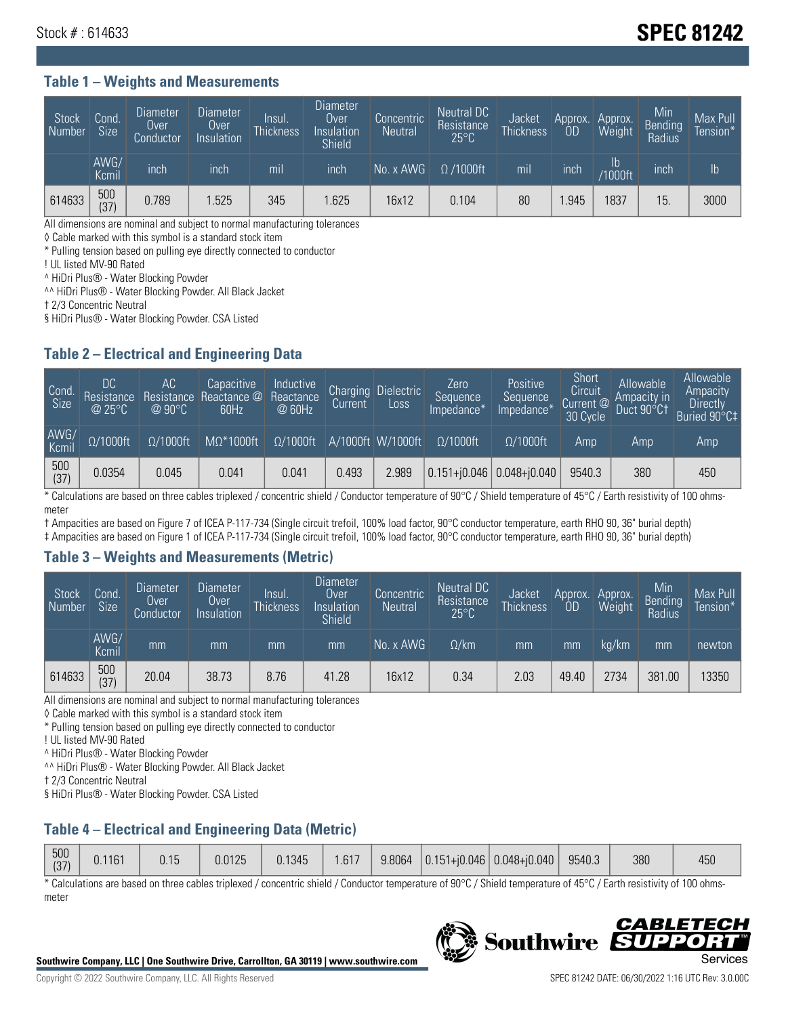## Stock # : 614633 **SPEC 81242**

#### **Table 1 – Weights and Measurements**

| Stock<br>  Number | Cond.<br>Size <sup>1</sup> | <b>Diameter</b><br>Over<br>Conductor | Diameter<br>Over<br>Insulation | lnsul.<br><b>Thickness</b> | <b>Diameter</b><br>Over<br>Insulation<br><b>Shield</b> | Concentric<br><b>Neutral</b> | Neutral DC<br>Resistance<br>$25^{\circ}$ C | Jacket<br><b>Thickness</b> | Approx.<br>0D | Approx.<br>Weight    | Min<br><b>Bending</b><br>Radius | Max Pull<br>Tension*' |
|-------------------|----------------------------|--------------------------------------|--------------------------------|----------------------------|--------------------------------------------------------|------------------------------|--------------------------------------------|----------------------------|---------------|----------------------|---------------------------------|-----------------------|
|                   | AWG/<br>Kcmil              | inch                                 | inch                           | m <sub>l</sub>             | inch                                                   | No. x AWG                    | $\Omega$ /1000ft                           | mil                        | inch          | Ib<br><b>Y1000ft</b> | inch                            | $\mathsf{lb}$         |
| 614633            | 500<br>(37)                | 0.789                                | .525                           | 345                        | .625                                                   | 16x12                        | 0.104                                      | 80                         | .945          | 1837                 | 15                              | 3000                  |

All dimensions are nominal and subject to normal manufacturing tolerances

◊ Cable marked with this symbol is a standard stock item

\* Pulling tension based on pulling eye directly connected to conductor

! UL listed MV-90 Rated

^ HiDri Plus® - Water Blocking Powder

^^ HiDri Plus® - Water Blocking Powder. All Black Jacket

† 2/3 Concentric Neutral

§ HiDri Plus® - Water Blocking Powder. CSA Listed

#### **Table 2 – Electrical and Engineering Data**

| Cond.<br>Size | 'DC<br>Resistance<br>@25°C | АC<br>Resistance<br>$\varpi$ 90°C | Capacitive<br>Reactance @<br>60Hz | Inductive<br>Reactance<br>@ 60Hz | <b>Charging</b><br>Current | <b>Dielectric</b><br>Loss | Zero<br>Sequence<br>Impedance* | <b>Positive</b><br>Sequence<br>Impedance <sup>+</sup> | Short<br>Circuit<br>Current <sup>@1</sup><br>30 Cycle | Allowable<br>Ampacity in<br>Duct 90°C1 | Allowable<br>Ampacity<br>Directly<br>Buried 90°C‡ |
|---------------|----------------------------|-----------------------------------|-----------------------------------|----------------------------------|----------------------------|---------------------------|--------------------------------|-------------------------------------------------------|-------------------------------------------------------|----------------------------------------|---------------------------------------------------|
| AWG/<br>Kcmil | $\Omega/1000$ ft           | $\Omega/1000$ ft                  | $M\Omega^*1000$ ft                | $\Omega/1000$ ft                 |                            | A/1000ft W/1000ft         | $\Omega/1000$ ft               | $\Omega$ /1000ft                                      | Amp                                                   | Amp                                    | Amp                                               |
| 500<br>(37)   | 0.0354                     | 0.045                             | 0.041                             | 0.041                            | 0.493                      | 2.989                     |                                | $0.151 + 0.046$ 0.048+ $0.040$                        | 9540.3                                                | 380                                    | 450                                               |

\* Calculations are based on three cables triplexed / concentric shield / Conductor temperature of 90°C / Shield temperature of 45°C / Earth resistivity of 100 ohmsmeter

† Ampacities are based on Figure 7 of ICEA P-117-734 (Single circuit trefoil, 100% load factor, 90°C conductor temperature, earth RHO 90, 36" burial depth)

‡ Ampacities are based on Figure 1 of ICEA P-117-734 (Single circuit trefoil, 100% load factor, 90°C conductor temperature, earth RHO 90, 36" burial depth)

#### **Table 3 – Weights and Measurements (Metric)**

| Stock<br>Number | Cond.<br>Size <sup>1</sup> | <b>Diameter</b><br><b>Over</b><br>Conductor | <b>Diameter</b><br><b>Over</b><br>Insulation | Insul.<br><b>Thickness</b> | <b>Diameter</b><br>Over<br>Insulation<br><b>Shield</b> | Concentric<br><b>Neutral</b> | Neutral DC<br>Resistance<br>$25^{\circ}$ C | Jacket<br><b>Thickness</b> | Approx.<br>ΟD | Approx.<br>Weight | Min<br>Bending<br>Radius | Max Pull<br>Tension* |
|-----------------|----------------------------|---------------------------------------------|----------------------------------------------|----------------------------|--------------------------------------------------------|------------------------------|--------------------------------------------|----------------------------|---------------|-------------------|--------------------------|----------------------|
|                 | AWG/<br>Kcmil              | mm                                          | mm                                           | mm                         | mm                                                     | No. x AWG                    | $\Omega$ /km                               | mm                         | mm            | ka/km             | mm                       | newton               |
| 614633          | 500<br>(37)                | 20.04                                       | 38.73                                        | 8.76                       | 41.28                                                  | 16x12                        | 0.34                                       | 2.03                       | 49.40         | 2734              | 381.00                   | 13350                |

All dimensions are nominal and subject to normal manufacturing tolerances

◊ Cable marked with this symbol is a standard stock item

\* Pulling tension based on pulling eye directly connected to conductor

! UL listed MV-90 Rated

^ HiDri Plus® - Water Blocking Powder

^^ HiDri Plus® - Water Blocking Powder. All Black Jacket

† 2/3 Concentric Neutral

§ HiDri Plus® - Water Blocking Powder. CSA Listed

#### **Table 4 – Electrical and Engineering Data (Metric)**

| 500<br>(37) | 0.1161 | 0.15 | 0.0125 | 0.1345 | .617 | 9.8064 |  | $\vert$ 0.151+j0.046 0.048+j0.040 | 9540.3 | 380 | /ደሀ<br>ט∪+ |
|-------------|--------|------|--------|--------|------|--------|--|-----------------------------------|--------|-----|------------|
|-------------|--------|------|--------|--------|------|--------|--|-----------------------------------|--------|-----|------------|

\* Calculations are based on three cables triplexed / concentric shield / Conductor temperature of 90°C / Shield temperature of 45°C / Earth resistivity of 100 ohmsmeter



**Southwire** 

**CABLE**